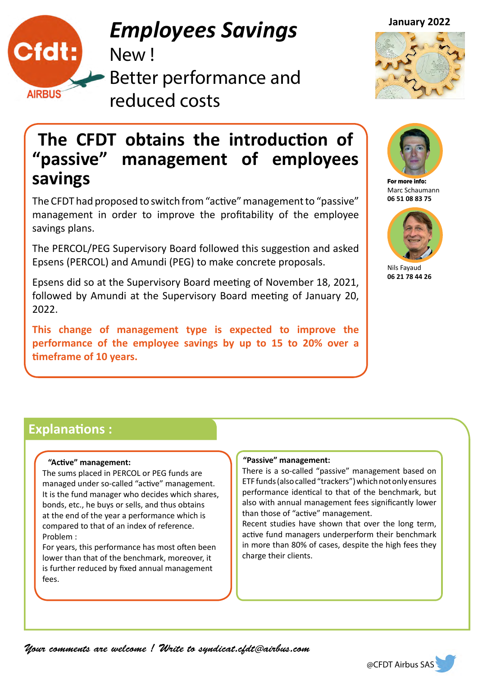

# **January 2022** *Employees Savings*

New !

Better performance and reduced costs





### **The CFDT obtains the introduction of "passive" management of employees savings**

The CFDT had proposed to switch from "active" management to "passive" management in order to improve the profitability of the employee savings plans.

The PERCOL/PEG Supervisory Board followed this suggestion and asked Epsens (PERCOL) and Amundi (PEG) to make concrete proposals.

Epsens did so at the Supervisory Board meeting of November 18, 2021, followed by Amundi at the Supervisory Board meeting of January 20, 2022.

**This change of management type is expected to improve the performance of the employee savings by up to 15 to 20% over a timeframe of 10 years.** 



For more info: Marc Schaumann **06 51 08 83 75**



Nils Fayaud **06 21 78 44 26**

### **Explanations :**

#### **"Active" management:**

The sums placed in PERCOL or PEG funds are managed under so-called "active" management. It is the fund manager who decides which shares, bonds, etc., he buys or sells, and thus obtains at the end of the year a performance which is compared to that of an index of reference. Problem :

For years, this performance has most often been lower than that of the benchmark, moreover, it is further reduced by fixed annual management fees.

#### **"Passive" management:**

There is a so-called "passive" management based on ETF funds (also called "trackers") which not only ensures performance identical to that of the benchmark, but also with annual management fees significantly lower than those of "active" management.

Recent studies have shown that over the long term, active fund managers underperform their benchmark in more than 80% of cases, despite the high fees they charge their clients.

*Your comments are welcome ! Write to syndicat.cfdt@airbus.com*